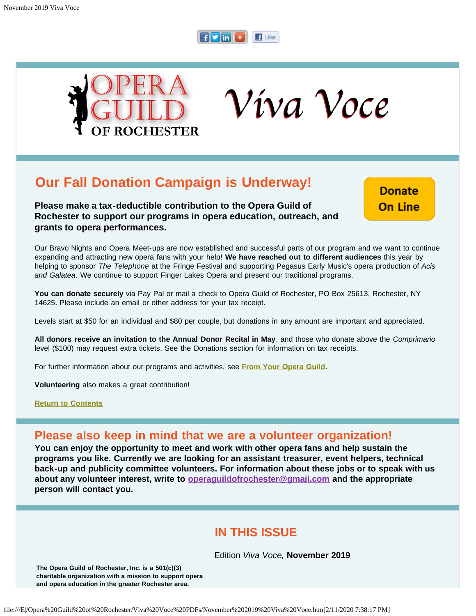

<span id="page-0-1"></span>

Víva Voce

# **Our Fall Donation Campaign is Underway!**

**Please make a tax-deductible contribution to the Opera Guild of Rochester to support our programs in opera education, outreach, and grants to opera performances.**

**Donate On Line** 

Our Bravo Nights and Opera Meet-ups are now established and successful parts of our program and we want to continue expanding and attracting new opera fans with your help! **We have reached out to different audiences** this year by helping to sponsor *The Telephone* at the Fringe Festival and supporting Pegasus Early Music's opera production of *Acis and Galatea*. We continue to support Finger Lakes Opera and present our traditional programs.

**You can donate securely** via Pay Pal or mail a check to Opera Guild of Rochester, PO Box 25613, Rochester, NY 14625. Please include an email or other address for your tax receipt.

Levels start at \$50 for an individual and \$80 per couple, but donations in any amount are important and appreciated.

**All donors receive an invitation to the Annual Donor Recital in May**, and those who donate above the *Comprimario* level (\$100) may request extra tickets. See the Donations section for information on tax receipts.

For further information about our programs and activities, see **[From Your Opera Guild](#page-12-0)**.

**Volunteering** also makes a great contribution!

**[Return to Contents](#page-0-0)**

## **Please also keep in mind that we are a volunteer organization!**

**You can enjoy the opportunity to meet and work with other opera fans and help sustain the programs you like. Currently we are looking for an assistant treasurer, event helpers, technical back-up and publicity committee volunteers. For information about these jobs or to speak with us about any volunteer interest, write to [operaguildofrochester@gmail.com](mailto:operaguildofrochester@gmail.com) and the appropriate person will contact you.**

## **IN THIS ISSUE**

Edition *Viva Voce,* **November 2019**

<span id="page-0-0"></span>**The Opera Guild of Rochester, Inc. is a 501(c)(3) charitable organization with a mission to support opera and opera education in the greater Rochester area.**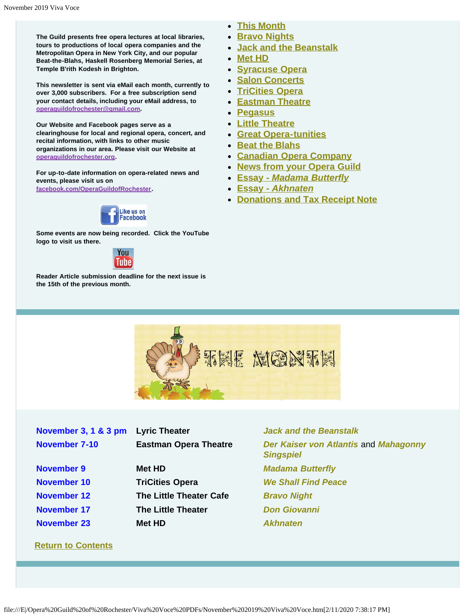**The Guild presents free opera lectures at local libraries, tours to productions of local opera companies and the Metropolitan Opera in New York City, and our popular Beat-the-Blahs, Haskell Rosenberg Memorial Series, at Temple B'rith Kodesh in Brighton.**

**This newsletter is sent via eMail each month, currently to over 3,000 subscribers. For a free subscription send your contact details, including your eMail address, to [operaguildofrochester@gmail.com.](mailto:operaguildofrochester@gmail.com)**

**Our Website and Facebook pages serve as a clearinghouse for local and regional opera, concert, and recital information, with links to other music organizations in our area. Please visit our Website at [operaguildofrochester.org](http://operaguildofrochester.org/).**

**For up-to-date information on opera-related news and events, please visit us on [facebook.com/OperaGuildofRochester](http://facebook.com/OperaGuildofRochester).**



**Some events are now being recorded. Click the YouTube logo to visit us there.**



<span id="page-1-0"></span>**Reader Article submission deadline for the next issue is the 15th of the previous month.**

- **[This Month](#page-1-0)**
- **[Bravo Nights](#page-2-0)**
- **[Jack and the Beanstalk](#page-3-0)**
- **[Met HD](#page-3-1)**
- **[Syracuse Opera](#page-4-0)**
- **[Salon Concerts](#page-5-0)**
- **[TriCities Opera](#page-6-0)**
- **[Eastman Theatre](#page-7-0)**
- **[Pegasus](#page-8-0)**
- **[Little Theatre](#page-10-0)**
- **[Great Opera-tunities](#page-10-1)**
- **[Beat the Blahs](#page-11-0)**
- **[Canadian Opera Company](#page-11-1)**
- **[News from your Opera Guild](#page-12-0)**
- **[Essay](#page-12-1)** *[Madama Butterfly](#page-12-1)*
- **[Essay](#page-14-0)** *[Akhnaten](#page-14-0)*
- **[Donations and Tax Receipt Note](#page-15-0)**



| November 3, 1 & 3 pm | <b>Lyric Theater</b>         |  |
|----------------------|------------------------------|--|
| November 7-10        | <b>Eastman Opera Theatre</b> |  |
|                      |                              |  |
| November 9           | <b>Met HD</b>                |  |
| November 10          | <b>TriCities Opera</b>       |  |
| November 12          | The Little Theater Cafe      |  |
| November 17          | <b>The Little Theater</b>    |  |
| November 23          | Met HD                       |  |
|                      |                              |  |

**[Return to Contents](#page-0-0)**

**[Jack and the Beanstalk](#page-3-0)** *[Der Kaiser von Atlantis](#page-7-0) and [Mahagonny](#page-7-0) [Singspiel](#page-7-0)* **[Madama Butterfly](#page-3-1) [We Shall Find Peace](#page-0-1) [Bravo Night](#page-2-0) [Don Giovanni](#page-10-0)**  $A$ *khnaten*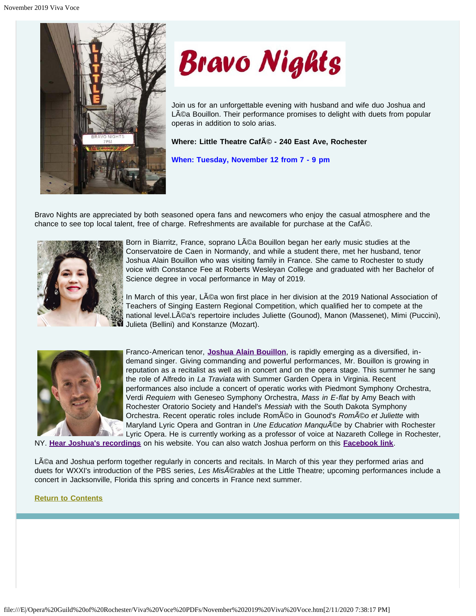<span id="page-2-0"></span>



Join us for an unforgettable evening with husband and wife duo Joshua and Léa Bouillon. Their performance promises to delight with duets from popular operas in addition to solo arias.

Where: Little Theatre CafA<sup>

C</sup> - 240 East Ave, Rochester

**When: Tuesday, November 12 from 7 - 9 pm**

Bravo Nights are appreciated by both seasoned opera fans and newcomers who enjoy the casual atmosphere and the chance to see top local talent, free of charge. Refreshments are available for purchase at the Caf©.



Born in Biarritz, France, soprano Léa Bouillon began her early music studies at the Conservatoire de Caen in Normandy, and while a student there, met her husband, tenor Joshua Alain Bouillon who was visiting family in France. She came to Rochester to study voice with Constance Fee at Roberts Wesleyan College and graduated with her Bachelor of Science degree in vocal performance in May of 2019.

In March of this year, LACa won first place in her division at the 2019 National Association of Teachers of Singing Eastern Regional Competition, which qualified her to compete at the national level.Léa's repertoire includes Juliette (Gounod), Manon (Massenet), Mimi (Puccini), Julieta (Bellini) and Konstanze (Mozart).



Franco-American tenor, **[Joshua Alain Bouillon](https://www.joshuaalainbouillon.com/)**, is rapidly emerging as a diversified, indemand singer. Giving commanding and powerful performances, Mr. Bouillon is growing in reputation as a recitalist as well as in concert and on the opera stage. This summer he sang the role of Alfredo in *La Traviata* with Summer Garden Opera in Virginia. Recent performances also include a concert of operatic works with Piedmont Symphony Orchestra, Verdi *Requiem* with Geneseo Symphony Orchestra, *Mass in E-flat* by Amy Beach with Rochester Oratorio Society and Handel's *Messiah* with the South Dakota Symphony Orchestra. Recent operatic roles include Roméo in Gounod's *RomÃ*©o et Juliette with Maryland Lyric Opera and Gontran in *Une Education Manqu*©e by Chabrier with Rochester Lyric Opera. He is currently working as a professor of voice at Nazareth College in Rochester,

NY. **[Hear Joshua's recordings](https://www.joshuaalainbouillon.com/recordings)** on his website. You can also watch Joshua perform on this **[Facebook link](https://www.facebook.com/piedmontsymphony/videos/vb.71029132595/2409838155954621/?type=2&theater)**.

Léa and Joshua perform together regularly in concerts and recitals. In March of this year they performed arias and duets for WXXI's introduction of the PBS series, *Les Misérables* at the Little Theatre; upcoming performances include a concert in Jacksonville, Florida this spring and concerts in France next summer.

## **[Return to Contents](#page-0-0)**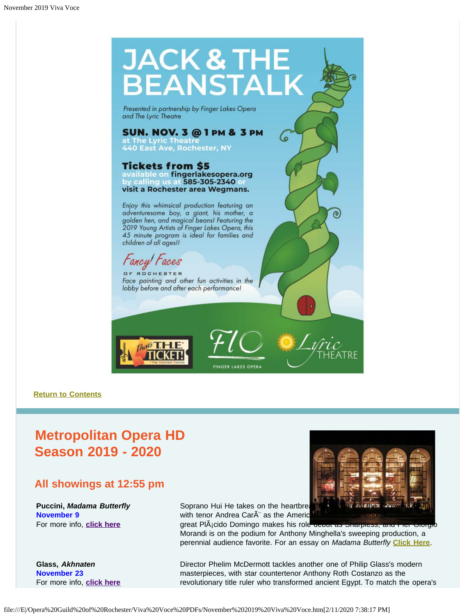<span id="page-3-0"></span>

#### **[Return to Contents](#page-0-0)**

# <span id="page-3-1"></span>**Metropolitan Opera HD Season 2019 - 2020**

## **All showings at 12:55 pm**

**Puccini,** *Madama Butterfly*  **November 9** For more info, **[click here](https://www.metopera.org/season/in-cinemas/2019-20-season/madama-butterfly-live-in-hd/)**

**Glass,** *Akhnaten* **November 23**  For more info, **[click here](https://www.metopera.org/season/in-cinemas/2019-20-season/akhnaten-live-in-hd/)** Soprano Hui He takes on the heartbreaking with tenor Andrea CarÂ" as the Americ

great PlÂ<sub>i</sub>cido Domingo makes his role debut as Sharpless, and Morandi is on the podium for Anthony Minghella's sweeping production, a perennial audience favorite. For an essay on *Madama Butterfly* **[Click Here](#page-12-1)**.

Director Phelim McDermott tackles another one of Philip Glass's modern masterpieces, with star countertenor Anthony Roth Costanzo as the revolutionary title ruler who transformed ancient Egypt. To match the opera's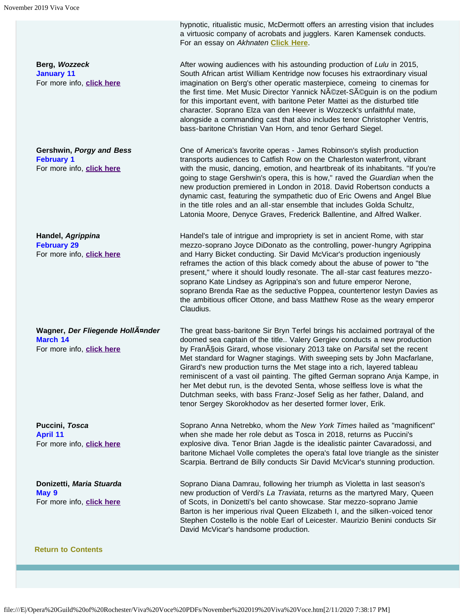**Berg,** *Wozzeck*  **January 11**  For more info, **[click here](https://www.metopera.org/season/in-cinemas/2019-20-season/wozzeck-live-in-hd/)**

**Gershwin,** *Porgy and Bess* **February 1**  For more info, **[click here](https://www.metopera.org/season/in-cinemas/2019-20-season/porgy-and-bess-live-in-hd/)**

**Handel,** *Agrippina*  **February 29**  For more info, **[click here](https://www.metopera.org/season/in-cinemas/2019-20-season/agrippina-live-in-hd/)**

**Wagner,** *Der Fliegende Holländer*  **March 14**  For more info, **[click here](https://www.metopera.org/season/in-cinemas/2019-20-season/der-fliegende-hollander-live-in-hd/)**

**Puccini,** *Tosca*  **April 11**  For more info, **[click here](https://www.metopera.org/season/in-cinemas/2019-20-season/tosca-live-in-hd/)**

**Donizetti,** *Maria Stuarda*  **May 9**  For more info, **[click here](https://www.metopera.org/season/in-cinemas/2019-20-season/maria-stuarda-live-in-hd/)**

<span id="page-4-0"></span>**[Return to Contents](#page-0-0)**

hypnotic, ritualistic music, McDermott offers an arresting vision that includes a virtuosic company of acrobats and jugglers. Karen Kamensek conducts. For an essay on *Akhnaten* **[Click Here](#page-14-0)**.

After wowing audiences with his astounding production of *Lulu* in 2015, South African artist William Kentridge now focuses his extraordinary visual imagination on Berg's other operatic masterpiece, comeing to cinemas for the first time. Met Music Director Yannick NAOzet-SAO guin is on the podium for this important event, with baritone Peter Mattei as the disturbed title character. Soprano Elza van den Heever is Wozzeck's unfaithful mate, alongside a commanding cast that also includes tenor Christopher Ventris, bass-baritone Christian Van Horn, and tenor Gerhard Siegel.

One of America's favorite operas - James Robinson's stylish production transports audiences to Catfish Row on the Charleston waterfront, vibrant with the music, dancing, emotion, and heartbreak of its inhabitants. "If you're going to stage Gershwin's opera, this is how," raved the *Guardian* when the new production premiered in London in 2018. David Robertson conducts a dynamic cast, featuring the sympathetic duo of Eric Owens and Angel Blue in the title roles and an all-star ensemble that includes Golda Schultz, Latonia Moore, Denyce Graves, Frederick Ballentine, and Alfred Walker.

Handel's tale of intrigue and impropriety is set in ancient Rome, with star mezzo-soprano Joyce DiDonato as the controlling, power-hungry Agrippina and Harry Bicket conducting. Sir David McVicar's production ingeniously reframes the action of this black comedy about the abuse of power to "the present," where it should loudly resonate. The all-star cast features mezzosoprano Kate Lindsey as Agrippina's son and future emperor Nerone, soprano Brenda Rae as the seductive Poppea, countertenor Iestyn Davies as the ambitious officer Ottone, and bass Matthew Rose as the weary emperor Claudius.

The great bass-baritone Sir Bryn Terfel brings his acclaimed portrayal of the doomed sea captain of the title.. Valery Gergiev conducts a new production by Fran<sub>A</sub>§ois Girard, whose visionary 2013 take on *Parsifal* set the recent Met standard for Wagner stagings. With sweeping sets by John Macfarlane, Girard's new production turns the Met stage into a rich, layered tableau reminiscent of a vast oil painting. The gifted German soprano Anja Kampe, in her Met debut run, is the devoted Senta, whose selfless love is what the Dutchman seeks, with bass Franz-Josef Selig as her father, Daland, and tenor Sergey Skorokhodov as her deserted former lover, Erik.

Soprano Anna Netrebko, whom the *New York Times* hailed as "magnificent" when she made her role debut as Tosca in 2018, returns as Puccini's explosive diva. Tenor Brian Jagde is the idealistic painter Cavaradossi, and baritone Michael Volle completes the opera's fatal love triangle as the sinister Scarpia. Bertrand de Billy conducts Sir David McVicar's stunning production.

Soprano Diana Damrau, following her triumph as Violetta in last season's new production of Verdi's *La Traviata*, returns as the martyred Mary, Queen of Scots, in Donizetti's bel canto showcase. Star mezzo-soprano Jamie Barton is her imperious rival Queen Elizabeth I, and the silken-voiced tenor Stephen Costello is the noble Earl of Leicester. Maurizio Benini conducts Sir David McVicar's handsome production.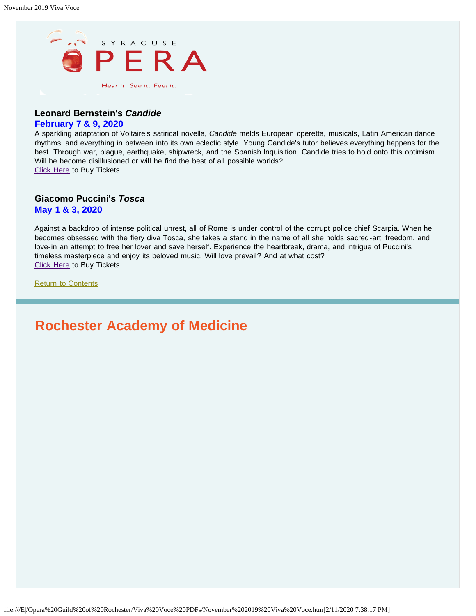

## **Leonard Bernstein's** *Candide*

## **February 7 & 9, 2020**

A sparkling adaptation of Voltaire's satirical novella, *Candide* melds European operetta, musicals, Latin American dance rhythms, and everything in between into its own eclectic style. Young Candide's tutor believes everything happens for the best. Through war, plague, earthquake, shipwreck, and the Spanish Inquisition, Candide tries to hold onto this optimism. Will he become disillusioned or will he find the best of all possible worlds? [Click Here](https://www.syracuseopera.org/subscriptions) to Buy Tickets

## **Giacomo Puccini's** *Tosca*

**May 1 & 3, 2020**

Against a backdrop of intense political unrest, all of Rome is under control of the corrupt police chief Scarpia. When he becomes obsessed with the fiery diva Tosca, she takes a stand in the name of all she holds sacred-art, freedom, and love-in an attempt to free her lover and save herself. Experience the heartbreak, drama, and intrigue of Puccini's timeless masterpiece and enjoy its beloved music. Will love prevail? And at what cost? [Click Here](https://www.syracuseopera.org/subscriptions) to Buy Tickets

[Return to Contents](#page-0-0)

# <span id="page-5-0"></span>**Rochester Academy of Medicine**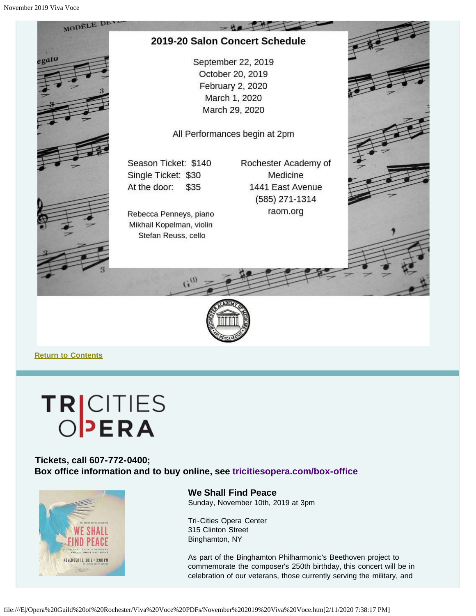



**[Return to Contents](#page-0-0)**

# **TRICITIES**

## <span id="page-6-0"></span>**Tickets, call 607-772-0400; Box office information and to buy online, see [tricitiesopera.com/box-office](http://tricitiesopera.com/box-office)**



**We Shall Find Peace** Sunday, November 10th, 2019 at 3pm

Tri-Cities Opera Center 315 Clinton Street Binghamton, NY

As part of the Binghamton Philharmonic's Beethoven project to commemorate the composer's 250th birthday, this concert will be in celebration of our veterans, those currently serving the military, and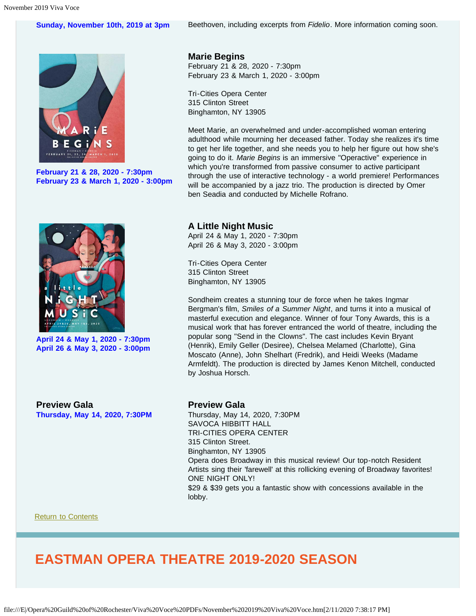## **Sunday, November 10th, 2019 at 3pm** Beethoven, including excerpts from *Fidelio*. More information coming soon.

G S

**February 21 & 28, 2020 - 7:30pm February 23 & March 1, 2020 - 3:00pm**



**April 24 & May 1, 2020 - 7:30pm April 26 & May 3, 2020 - 3:00pm** **Marie Begins**

February 21 & 28, 2020 - 7:30pm February 23 & March 1, 2020 - 3:00pm

Tri-Cities Opera Center 315 Clinton Street Binghamton, NY 13905

Meet Marie, an overwhelmed and under-accomplished woman entering adulthood while mourning her deceased father. Today she realizes it's time to get her life together, and she needs you to help her figure out how she's going to do it. *Marie Begins* is an immersive "Operactive" experience in which you're transformed from passive consumer to active participant through the use of interactive technology - a world premiere! Performances will be accompanied by a jazz trio. The production is directed by Omer ben Seadia and conducted by Michelle Rofrano.

## **A Little Night Music**

April 24 & May 1, 2020 - 7:30pm April 26 & May 3, 2020 - 3:00pm

Tri-Cities Opera Center 315 Clinton Street Binghamton, NY 13905

Sondheim creates a stunning tour de force when he takes Ingmar Bergman's film, *Smiles of a Summer Night*, and turns it into a musical of masterful execution and elegance. Winner of four Tony Awards, this is a musical work that has forever entranced the world of theatre, including the popular song "Send in the Clowns". The cast includes Kevin Bryant (Henrik), Emily Geller (Desiree), Chelsea Melamed (Charlotte), Gina Moscato (Anne), John Shelhart (Fredrik), and Heidi Weeks (Madame Armfeldt). The production is directed by James Kenon Mitchell, conducted by Joshua Horsch.

**Preview Gala Thursday, May 14, 2020, 7:30PM**

#### **Preview Gala**

Thursday, May 14, 2020, 7:30PM SAVOCA HIBBITT HALL TRI-CITIES OPERA CENTER 315 Clinton Street. Binghamton, NY 13905 Opera does Broadway in this musical review! Our top-notch Resident Artists sing their 'farewell' at this rollicking evening of Broadway favorites! ONE NIGHT ONLY! \$29 & \$39 gets you a fantastic show with concessions available in the lobby.

**[Return to Contents](#page-0-0)** 

# <span id="page-7-0"></span>**EASTMAN OPERA THEATRE 2019-2020 SEASON**

file:///E|/Opera%20Guild%20of%20Rochester/Viva%20Voce%20PDFs/November%202019%20Viva%20Voce.htm[2/11/2020 7:38:17 PM]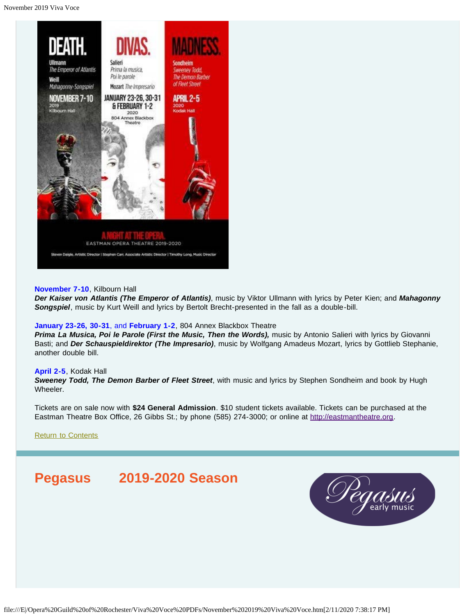

## **November 7-10**, Kilbourn Hall

*Der Kaiser von Atlantis (The Emperor of Atlantis)*, music by Viktor Ullmann with lyrics by Peter Kien; and *Mahagonny Songspiel*, music by Kurt Weill and lyrics by Bertolt Brecht-presented in the fall as a double-bill.

#### **January 23-26, 30-31**, and **February 1-2**, 804 Annex Blackbox Theatre

*Prima La Musica, Poi le Parole (First the Music, Then the Words),* music by Antonio Salieri with lyrics by Giovanni Basti; and *Der Schauspieldirektor (The Impresario)*, music by Wolfgang Amadeus Mozart, lyrics by Gottlieb Stephanie, another double bill.

#### **April 2-5**, Kodak Hall

*Sweeney Todd, The Demon Barber of Fleet Street*, with music and lyrics by Stephen Sondheim and book by Hugh Wheeler.

Tickets are on sale now with **\$24 General Admission**. \$10 student tickets available. Tickets can be purchased at the Eastman Theatre Box Office, 26 Gibbs St.; by phone (585) 274-3000; or online at [http://eastmantheatre.org](http://www.eastmantheatre.org/).

[Return to Contents](#page-0-0)

# <span id="page-8-0"></span>**Pegasus 2019-2020 Season**

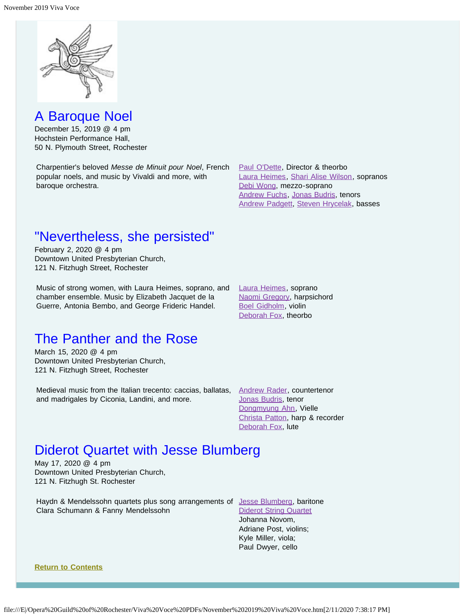

## A Baroque Noel

December 15, 2019 @ 4 pm Hochstein Performance Hall, 50 N. Plymouth Street, Rochester

Charpentier's beloved *Messe de Minuit pour Noel*, French popular noels, and music by Vivaldi and more, with baroque orchestra.

[Paul O'Dette](https://www.pegasusearlymusic.org/artist/paul-odette/), Director & theorbo [Laura Heimes](https://www.pegasusearlymusic.org/artist/laura-heimes-2/), [Shari Alise Wilson](https://www.pegasusearlymusic.org/artist/shari-alise-wilson/), sopranos [Debi Wong](https://www.pegasusearlymusic.org/artist/debi-wong/), mezzo-soprano [Andrew Fuchs](https://www.pegasusearlymusic.org/artist/andrew-fuchs/), [Jonas Budris,](https://www.pegasusearlymusic.org/artist/jonas-budris/) tenors **[Andrew Padgett](https://www.pegasusearlymusic.org/artist/andrew-padgett/), [Steven Hrycelak](https://www.pegasusearlymusic.org/artist/steven-hrycelak/), basses** 

# "Nevertheless, she persisted"

February 2, 2020 @ 4 pm Downtown United Presbyterian Church, 121 N. Fitzhugh Street, Rochester

Music of strong women, with Laura Heimes, soprano, and chamber ensemble. Music by Elizabeth Jacquet de la Guerre, Antonia Bembo, and George Frideric Handel.

[Laura Heimes](https://www.pegasusearlymusic.org/artist/laura-heimes-2/), soprano [Naomi Gregory](https://www.pegasusearlymusic.org/artist/naomi-gregory/), harpsichord [Boel Gidholm](https://www.pegasusearlymusic.org/artist/boel-gidholm/), violin [Deborah Fox](https://www.pegasusearlymusic.org/artist/deborah-fox/), theorbo

# The Panther and the Rose

March 15, 2020 @ 4 pm Downtown United Presbyterian Church, 121 N. Fitzhugh Street, Rochester

Medieval music from the Italian trecento: caccias, ballatas, [Andrew Rader](https://www.pegasusearlymusic.org/artist/andrew-rader/), countertenor and madrigales by Ciconia, Landini, and more.

[Jonas Budris](https://www.pegasusearlymusic.org/artist/jonas-budris/), tenor [Dongmyung Ahn](https://www.pegasusearlymusic.org/artist/dongmyung-ahn/), Vielle [Christa Patton](https://www.pegasusearlymusic.org/artist/christa-patton/), harp & recorder [Deborah Fox](https://www.pegasusearlymusic.org/artist/deborah-fox/), lute

# Diderot Quartet with Jesse Blumberg

May 17, 2020 @ 4 pm Downtown United Presbyterian Church, 121 N. Fitzhugh St. Rochester

Haydn & Mendelssohn quartets plus song arrangements of [Jesse Blumberg](https://www.pegasusearlymusic.org/artist/jesse-blumberg/), baritone Clara Schumann & Fanny Mendelssohn

[Diderot String Quartet](https://www.pegasusearlymusic.org/artist/diderot-string-quartet/) Johanna Novom, Adriane Post, violins; Kyle Miller, viola; Paul Dwyer, cello

## **[Return to Contents](#page-0-0)**

file:///E|/Opera%20Guild%20of%20Rochester/Viva%20Voce%20PDFs/November%202019%20Viva%20Voce.htm[2/11/2020 7:38:17 PM]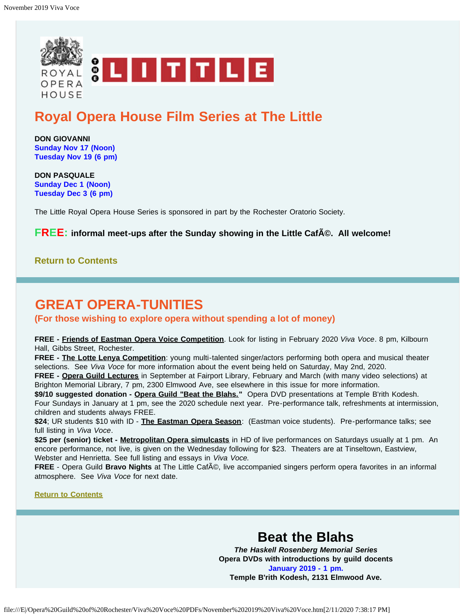<span id="page-10-0"></span>

# **Royal Opera House Film Series at The Little**

**DON GIOVANNI Sunday Nov 17 (Noon) Tuesday Nov 19 (6 pm)**

**DON PASQUALE Sunday Dec 1 (Noon) Tuesday Dec 3 (6 pm)**

The Little Royal Opera House Series is sponsored in part by the Rochester Oratorio Society.

**FREE:** informal meet-ups after the Sunday showing in the Little Caf<sub>A</sub>©. All welcome!

## **[Return to Contents](#page-0-0)**

# <span id="page-10-1"></span>**GREAT OPERA-TUNITIES**

**(For those wishing to explore opera without spending a lot of money)**

**FREE - Friends of Eastman Opera Voice Competition**. Look for listing in February 2020 *Viva Voce*. 8 pm, Kilbourn Hall, Gibbs Street, Rochester.

**FREE - The Lotte Lenya Competition**: young multi-talented singer/actors performing both opera and musical theater selections. See *Viva Voce* for more information about the event being held on Saturday, May 2nd, 2020.

**FREE - Opera Guild Lectures** in September at Fairport Library, February and March (with many video selections) at Brighton Memorial Library, 7 pm, 2300 Elmwood Ave, see elsewhere in this issue for more information.

**\$9/10 suggested donation - Opera Guild "Beat the Blahs."** Opera DVD presentations at Temple B'rith Kodesh. Four Sundays in January at 1 pm, see the 2020 schedule next year. Pre-performance talk, refreshments at intermission, children and students always FREE.

**\$24**; UR students \$10 with ID - **The Eastman Opera Season**: (Eastman voice students). Pre-performance talks; see full listing in *Viva Voce*.

\$25 per (senior) ticket - Metropolitan Opera simulcasts in HD of live performances on Saturdays usually at 1 pm. An encore performance, not live, is given on the Wednesday following for \$23. Theaters are at Tinseltown, Eastview, Webster and Henrietta. See full listing and essays in *Viva Voce.*

**FREE** - Opera Guild **Bravo Nights** at The Little Caf©, live accompanied singers perform opera favorites in an informal atmosphere. See *Viva Voce* for next date.

## **[Return to Contents](#page-0-0)**

# **Beat the Blahs**

*The Haskell Rosenberg Memorial Series* **Opera DVDs with introductions by guild docents January 2019 - 1 pm. Temple B'rith Kodesh, 2131 Elmwood Ave.**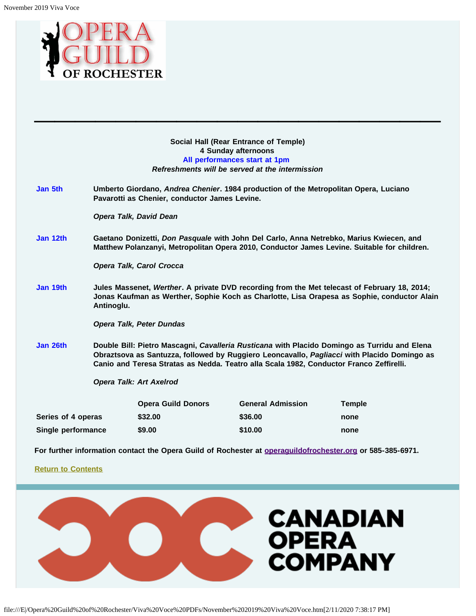<span id="page-11-0"></span>

**Social Hall (Rear Entrance of Temple) 4 Sunday afternoons All performances start at 1pm** *Refreshments will be served at the intermission*

**\_\_\_\_\_\_\_\_\_\_\_\_\_\_\_\_\_\_\_\_**

**Jan 5th Umberto Giordano,** *Andrea Chenier***. 1984 production of the Metropolitan Opera, Luciano Pavarotti as Chenier, conductor James Levine.**

*Opera Talk, David Dean*

**Jan 12th Gaetano Donizetti,** *Don Pasquale* **with John Del Carlo, Anna Netrebko, Marius Kwiecen, and Matthew Polanzanyi, Metropolitan Opera 2010, Conductor James Levine. Suitable for children.**

*Opera Talk, Carol Crocca*

**Jan 19th Jules Massenet,** *Werther***. A private DVD recording from the Met telecast of February 18, 2014; Jonas Kaufman as Werther, Sophie Koch as Charlotte, Lisa Orapesa as Sophie, conductor Alain Antinoglu.**

*Opera Talk, Peter Dundas*

**Jan 26th Double Bill: Pietro Mascagni,** *Cavalleria Rusticana* **with Placido Domingo as Turridu and Elena Obraztsova as Santuzza, followed by Ruggiero Leoncavallo,** *Pagliacci* **with Placido Domingo as Canio and Teresa Stratas as Nedda. Teatro alla Scala 1982, Conductor Franco Zeffirelli.**

*Opera Talk: Art Axelrod*

|                    | <b>Opera Guild Donors</b> | <b>General Admission</b> | <b>Temple</b> |
|--------------------|---------------------------|--------------------------|---------------|
| Series of 4 operas | \$32.00                   | \$36.00                  | none          |
| Single performance | \$9.00                    | \$10.00                  | none          |

**For further information contact the Opera Guild of Rochester at [operaguildofrochester.org](http://operaguildofrochester.org/) or 585-385-6971.**

## **[Return to Contents](#page-0-0)**

<span id="page-11-1"></span>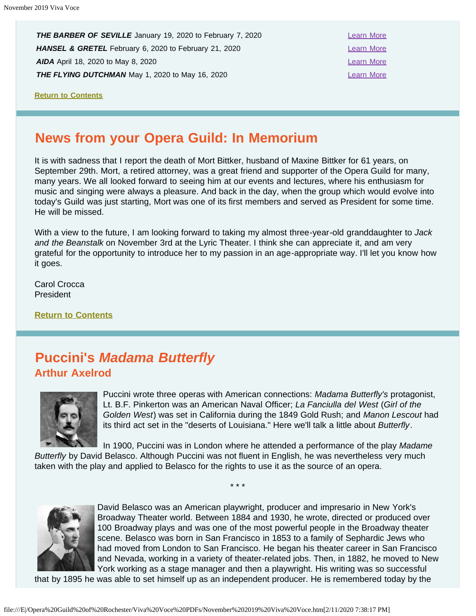**THE BARBER OF SEVILLE** January 19, 2020 to February 7, 2020 **HANSEL & GRETEL** February 6, 2020 to February 21, 2020 **[Learn More](https://www.coc.ca/productions/18719) AIDA** April 18, 2020 to May 8, 2020 [Learn More](https://www.coc.ca/productions/18731) **Learn More THE FLYING DUTCHMAN** May 1, 2020 to May 16, 2020

**[Return to Contents](#page-0-0)**

# <span id="page-12-0"></span>**News from your Opera Guild: In Memorium**

It is with sadness that I report the death of Mort Bittker, husband of Maxine Bittker for 61 years, on September 29th. Mort, a retired attorney, was a great friend and supporter of the Opera Guild for many, many years. We all looked forward to seeing him at our events and lectures, where his enthusiasm for music and singing were always a pleasure. And back in the day, when the group which would evolve into today's Guild was just starting, Mort was one of its first members and served as President for some time. He will be missed.

With a view to the future, I am looking forward to taking my almost three-year-old granddaughter to *Jack and the Beanstalk* on November 3rd at the Lyric Theater. I think she can appreciate it, and am very grateful for the opportunity to introduce her to my passion in an age-appropriate way. I'll let you know how it goes.

Carol Crocca President

**[Return to Contents](#page-0-0)**

# <span id="page-12-1"></span>**Puccini's** *Madama Butterfly* **Arthur Axelrod**



Puccini wrote three operas with American connections: *Madama Butterfly's* protagonist, Lt. B.F. Pinkerton was an American Naval Officer; *La Fanciulla del West* (*Girl of the Golden West*) was set in California during the 1849 Gold Rush; and *Manon Lescout* had its third act set in the "deserts of Louisiana." Here we'll talk a little about *Butterfly*.

In 1900, Puccini was in London where he attended a performance of the play *Madame Butterfly* by David Belasco. Although Puccini was not fluent in English, he was nevertheless very much taken with the play and applied to Belasco for the rights to use it as the source of an opera.

\* \* \*



David Belasco was an American playwright, producer and impresario in New York's Broadway Theater world. Between 1884 and 1930, he wrote, directed or produced over 100 Broadway plays and was one of the most powerful people in the Broadway theater scene. Belasco was born in San Francisco in 1853 to a family of Sephardic Jews who had moved from London to San Francisco. He began his theater career in San Francisco and Nevada, working in a variety of theater-related jobs. Then, in 1882, he moved to New York working as a stage manager and then a playwright. His writing was so successful

that by 1895 he was able to set himself up as an independent producer. He is remembered today by the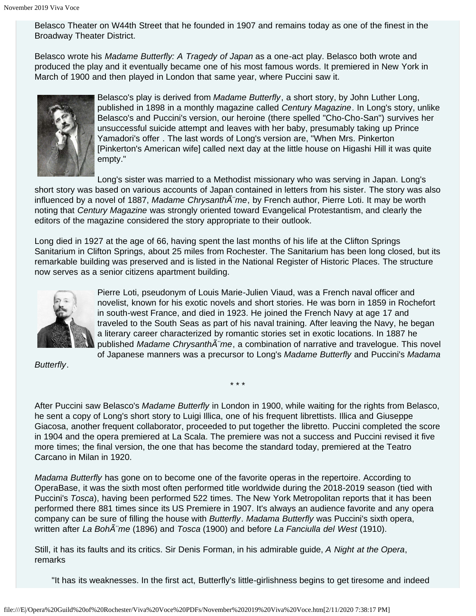Belasco Theater on W44th Street that he founded in 1907 and remains today as one of the finest in the Broadway Theater District.

Belasco wrote his *Madame Butterfly: A Tragedy of Japan* as a one-act play. Belasco both wrote and produced the play and it eventually became one of his most famous words. It premiered in New York in March of 1900 and then played in London that same year, where Puccini saw it.



Belasco's play is derived from *Madame Butterfly*, a short story, by John Luther Long, published in 1898 in a monthly magazine called *Century Magazine*. In Long's story, unlike Belasco's and Puccini's version, our heroine (there spelled "Cho-Cho-San") survives her unsuccessful suicide attempt and leaves with her baby, presumably taking up Prince Yamadori's offer . The last words of Long's version are, "When Mrs. Pinkerton [Pinkerton's American wife] called next day at the little house on Higashi Hill it was quite empty."

Long's sister was married to a Methodist missionary who was serving in Japan. Long's short story was based on various accounts of Japan contained in letters from his sister. The story was also influenced by a novel of 1887, *Madame Chrysanth me*, by French author, Pierre Loti. It may be worth noting that *Century Magazine* was strongly oriented toward Evangelical Protestantism, and clearly the editors of the magazine considered the story appropriate to their outlook.

Long died in 1927 at the age of 66, having spent the last months of his life at the Clifton Springs Sanitarium in Clifton Springs, about 25 miles from Rochester. The Sanitarium has been long closed, but its remarkable building was preserved and is listed in the National Register of Historic Places. The structure now serves as a senior citizens apartment building.



Pierre Loti, pseudonym of Louis Marie-Julien Viaud, was a French naval officer and novelist, known for his exotic novels and short stories. He was born in 1859 in Rochefort in south-west France, and died in 1923. He joined the French Navy at age 17 and traveled to the South Seas as part of his naval training. After leaving the Navy, he began a literary career characterized by romantic stories set in exotic locations. In 1887 he published *Madame Chrysanth* $\tilde{A}$ "*me*, a combination of narrative and travelogue. This novel of Japanese manners was a precursor to Long's *Madame Butterfly* and Puccini's *Madama*

*Butterfly*.

After Puccini saw Belasco's *Madame Butterfly* in London in 1900, while waiting for the rights from Belasco, he sent a copy of Long's short story to Luigi Illica, one of his frequent librettists. Illica and Giuseppe Giacosa, another frequent collaborator, proceeded to put together the libretto. Puccini completed the score in 1904 and the opera premiered at La Scala. The premiere was not a success and Puccini revised it five more times; the final version, the one that has become the standard today, premiered at the Teatro Carcano in Milan in 1920.

\* \* \*

*Madama Butterfly* has gone on to become one of the favorite operas in the repertoire. According to OperaBase, it was the sixth most often performed title worldwide during the 2018-2019 season (tied with Puccini's *Tosca*), having been performed 522 times. The New York Metropolitan reports that it has been performed there 881 times since its US Premiere in 1907. It's always an audience favorite and any opera company can be sure of filling the house with *Butterfly*. *Madama Butterfly* was Puccini's sixth opera, written after *La Boh* me (1896) and *Tosca* (1900) and before *La Fanciulla del West* (1910).

Still, it has its faults and its critics. Sir Denis Forman, in his admirable guide, *A Night at the Opera*, remarks

"It has its weaknesses. In the first act, Butterfly's little-girlishness begins to get tiresome and indeed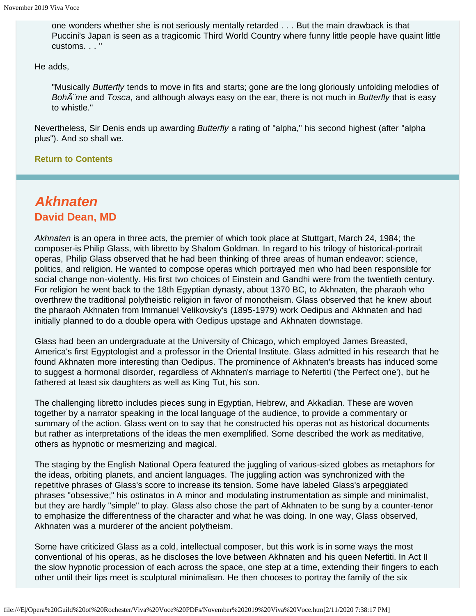one wonders whether she is not seriously mentally retarded . . . But the main drawback is that Puccini's Japan is seen as a tragicomic Third World Country where funny little people have quaint little customs. . . "

He adds,

"Musically *Butterfly* tends to move in fits and starts; gone are the long gloriously unfolding melodies of *Boh* me and *Tosca*, and although always easy on the ear, there is not much in *Butterfly* that is easy to whistle."

Nevertheless, Sir Denis ends up awarding *Butterfly* a rating of "alpha," his second highest (after "alpha plus"). And so shall we.

## **[Return to Contents](#page-0-0)**

# <span id="page-14-0"></span>*Akhnaten* **David Dean, MD**

*Akhnaten* is an opera in three acts, the premier of which took place at Stuttgart, March 24, 1984; the composer-is Philip Glass, with libretto by Shalom Goldman. In regard to his trilogy of historical-portrait operas, Philip Glass observed that he had been thinking of three areas of human endeavor: science, politics, and religion. He wanted to compose operas which portrayed men who had been responsible for social change non-violently. His first two choices of Einstein and Gandhi were from the twentieth century. For religion he went back to the 18th Egyptian dynasty, about 1370 BC, to Akhnaten, the pharaoh who overthrew the traditional polytheistic religion in favor of monotheism. Glass observed that he knew about the pharaoh Akhnaten from Immanuel Velikovsky's (1895-1979) work <u>Oedipus and Akhnaten</u> and had initially planned to do a double opera with Oedipus upstage and Akhnaten downstage.

Glass had been an undergraduate at the University of Chicago, which employed James Breasted, America's first Egyptologist and a professor in the Oriental Institute. Glass admitted in his research that he found Akhnaten more interesting than Oedipus. The prominence of Akhnaten's breasts has induced some to suggest a hormonal disorder, regardless of Akhnaten's marriage to Nefertiti ('the Perfect one'), but he fathered at least six daughters as well as King Tut, his son.

The challenging libretto includes pieces sung in Egyptian, Hebrew, and Akkadian. These are woven together by a narrator speaking in the local language of the audience, to provide a commentary or summary of the action. Glass went on to say that he constructed his operas not as historical documents but rather as interpretations of the ideas the men exemplified. Some described the work as meditative, others as hypnotic or mesmerizing and magical.

The staging by the English National Opera featured the juggling of various-sized globes as metaphors for the ideas, orbiting planets, and ancient languages. The juggling action was synchronized with the repetitive phrases of Glass's score to increase its tension. Some have labeled Glass's arpeggiated phrases "obsessive;" his ostinatos in A minor and modulating instrumentation as simple and minimalist, but they are hardly "simple" to play. Glass also chose the part of Akhnaten to be sung by a counter-tenor to emphasize the differentness of the character and what he was doing. In one way, Glass observed, Akhnaten was a murderer of the ancient polytheism.

Some have criticized Glass as a cold, intellectual composer, but this work is in some ways the most conventional of his operas, as he discloses the love between Akhnaten and his queen Nefertiti. In Act II the slow hypnotic procession of each across the space, one step at a time, extending their fingers to each other until their lips meet is sculptural minimalism. He then chooses to portray the family of the six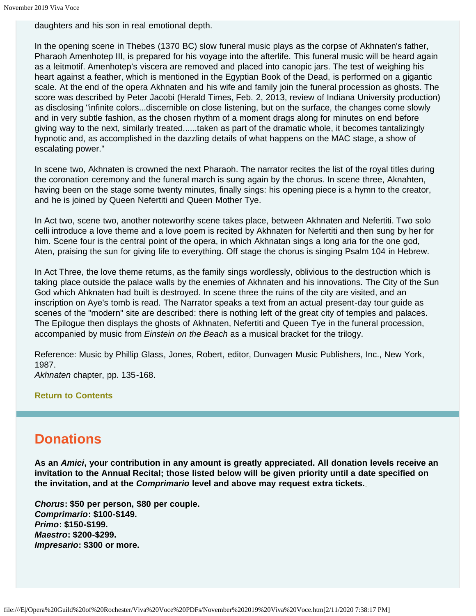daughters and his son in real emotional depth.

In the opening scene in Thebes (1370 BC) slow funeral music plays as the corpse of Akhnaten's father, Pharaoh Amenhotep III, is prepared for his voyage into the afterlife. This funeral music will be heard again as a leitmotif. Amenhotep's viscera are removed and placed into canopic jars. The test of weighing his heart against a feather, which is mentioned in the Egyptian Book of the Dead, is performed on a gigantic scale. At the end of the opera Akhnaten and his wife and family join the funeral procession as ghosts. The score was described by Peter Jacobi (Herald Times, Feb. 2, 2013, review of Indiana University production) as disclosing "infinite colors...discernible on close listening, but on the surface, the changes come slowly and in very subtle fashion, as the chosen rhythm of a moment drags along for minutes on end before giving way to the next, similarly treated......taken as part of the dramatic whole, it becomes tantalizingly hypnotic and, as accomplished in the dazzling details of what happens on the MAC stage, a show of escalating power."

In scene two, Akhnaten is crowned the next Pharaoh. The narrator recites the list of the royal titles during the coronation ceremony and the funeral march is sung again by the chorus. In scene three, Aknahten, having been on the stage some twenty minutes, finally sings: his opening piece is a hymn to the creator, and he is joined by Queen Nefertiti and Queen Mother Tye.

In Act two, scene two, another noteworthy scene takes place, between Akhnaten and Nefertiti. Two solo celli introduce a love theme and a love poem is recited by Akhnaten for Nefertiti and then sung by her for him. Scene four is the central point of the opera, in which Akhnatan sings a long aria for the one god, Aten, praising the sun for giving life to everything. Off stage the chorus is singing Psalm 104 in Hebrew.

In Act Three, the love theme returns, as the family sings wordlessly, oblivious to the destruction which is taking place outside the palace walls by the enemies of Akhnaten and his innovations. The City of the Sun God which Ahknaten had built is destroyed. In scene three the ruins of the city are visited, and an inscription on Aye's tomb is read. The Narrator speaks a text from an actual present-day tour guide as scenes of the "modern" site are described: there is nothing left of the great city of temples and palaces. The Epilogue then displays the ghosts of Akhnaten, Nefertiti and Queen Tye in the funeral procession, accompanied by music from *Einstein on the Beach* as a musical bracket for the trilogy.

Reference: <u>Music by Phillip Glass,</u> Jones, Robert, editor, Dunvagen Music Publishers, Inc., New York, 1987.

*Akhnaten* chapter, pp. 135-168.

**[Return to Contents](#page-0-0)**

# <span id="page-15-0"></span>**Donations**

**As an** *Amici***, your contribution in any amount is greatly appreciated. All donation levels receive an invitation to the Annual Recital; those listed below will be given priority until a date specified on the invitation, and at the** *Comprimario* **level and above may request extra tickets.**

*Chorus***: \$50 per person, \$80 per couple.** *Comprimario***: \$100-\$149.** *Primo***: \$150-\$199.** *Maestro***: \$200-\$299.** *Impresario***: \$300 or more.**